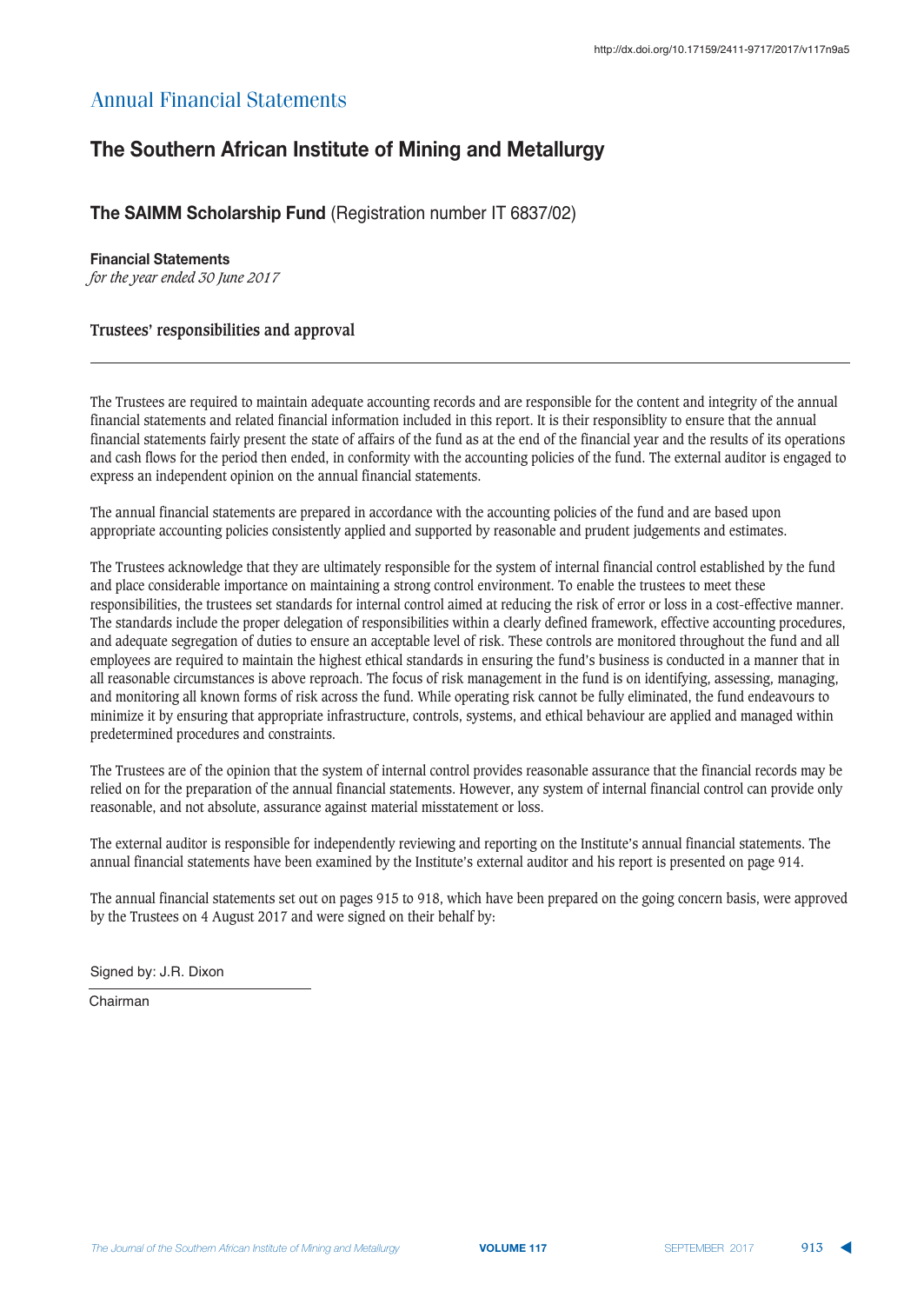## **The Southern African Institute of Mining and Metallurgy**

## **The SAIMM Scholarship Fund (Registration number IT 6837/02)**

## **Einancial Statements**

*for the year ended 30 June 2017*

## **Trustees' responsibilities and approval**

The Trustees are required to maintain adequate accounting records and are responsible for the content and integrity of the annual financial statements and related financial information included in this report. It is their responsiblity to ensure that the annual financial statements fairly present the state of affairs of the fund as at the end of the financial year and the results of its operations and cash flows for the period then ended, in conformity with the accounting policies of the fund. The external auditor is engaged to express an independent opinion on the annual financial statements.

The annual financial statements are prepared in accordance with the accounting policies of the fund and are based upon appropriate accounting policies consistently applied and supported by reasonable and prudent judgements and estimates.

The Trustees acknowledge that they are ultimately responsible for the system of internal financial control established by the fund and place considerable importance on maintaining a strong control environment. To enable the trustees to meet these responsibilities, the trustees set standards for internal control aimed at reducing the risk of error or loss in a cost-effective manner. The standards include the proper delegation of responsibilities within a clearly defined framework, effective accounting procedures, and adequate segregation of duties to ensure an acceptable level of risk. These controls are monitored throughout the fund and all employees are required to maintain the highest ethical standards in ensuring the fund's business is conducted in a manner that in all reasonable circumstances is above reproach. The focus of risk management in the fund is on identifying, assessing, managing, and monitoring all known forms of risk across the fund. While operating risk cannot be fully eliminated, the fund endeavours to minimize it by ensuring that appropriate infrastructure, controls, systems, and ethical behaviour are applied and managed within predetermined procedures and constraints.

The Trustees are of the opinion that the system of internal control provides reasonable assurance that the financial records may be relied on for the preparation of the annual financial statements. However, any system of internal financial control can provide only reasonable, and not absolute, assurance against material misstatement or loss.

The external auditor is responsible for independently reviewing and reporting on the Institute's annual financial statements. The annual financial statements have been examined by the Institute's external auditor and his report is presented on page 914.

The annual financial statements set out on pages 915 to 918, which have been prepared on the going concern basis, were approved by the Trustees on 4 August 2017 and were signed on their behalf by:

Signed by: J.R. Dixon

Chairman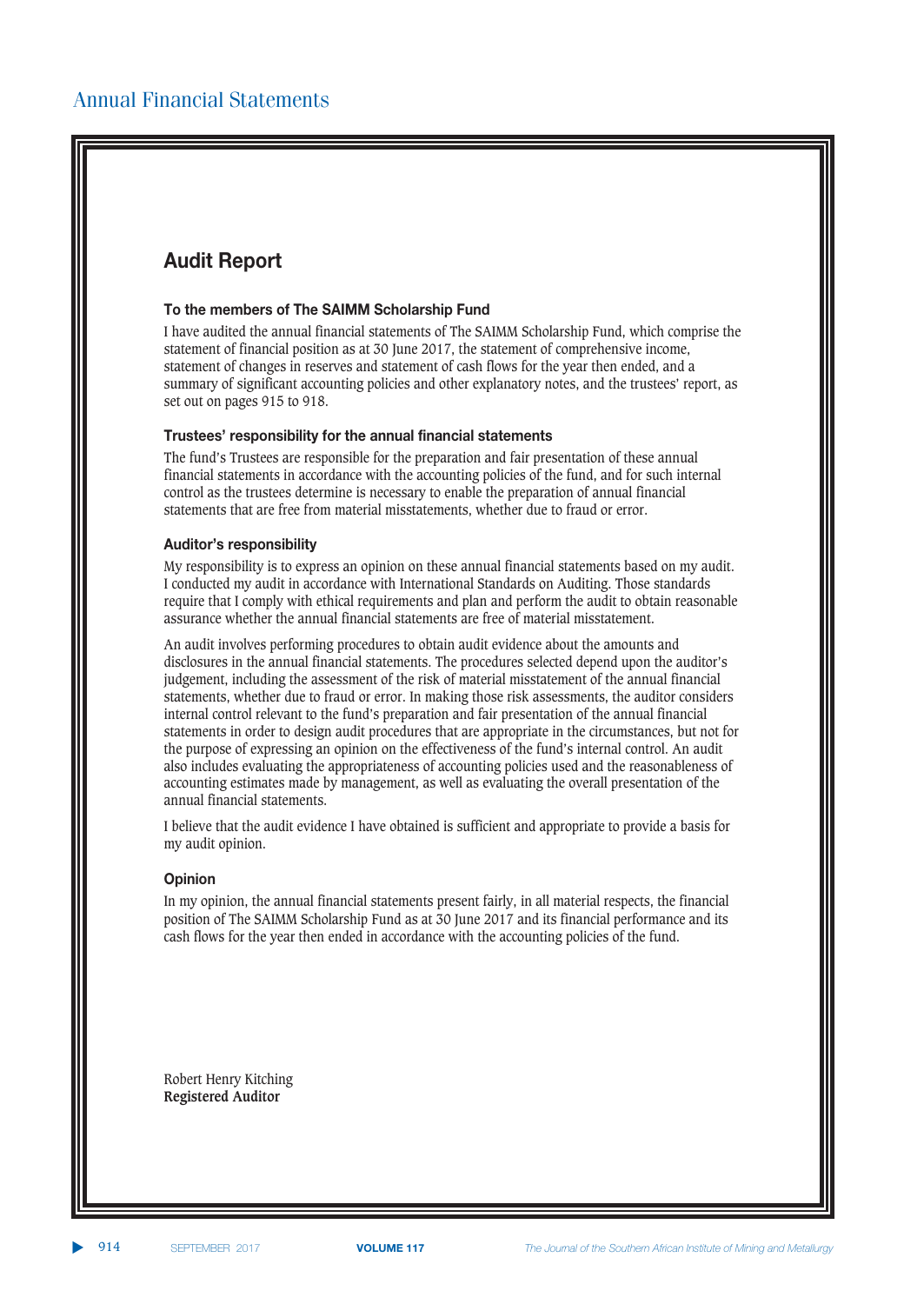## **Audit Report**

### **To the members of The SAIMM Scholarship Fund**

I have audited the annual financial statements of The SAIMM Scholarship Fund, which comprise the statement of financial position as at 30 June 2017, the statement of comprehensive income, statement of changes in reserves and statement of cash flows for the year then ended, and a summary of significant accounting policies and other explanatory notes, and the trustees' report, as set out on pages 915 to 918.

### **Trustees' responsibility for the annual financial statements**

The fund's Trustees are responsible for the preparation and fair presentation of these annual financial statements in accordance with the accounting policies of the fund, and for such internal control as the trustees determine is necessary to enable the preparation of annual financial statements that are free from material misstatements, whether due to fraud or error.

#### $k$  **Auditor's responsibility**

My responsibility is to express an opinion on these annual financial statements based on my audit. I conducted my audit in accordance with International Standards on Auditing. Those standards require that I comply with ethical requirements and plan and perform the audit to obtain reasonable assurance whether the annual financial statements are free of material misstatement.

An audit involves performing procedures to obtain audit evidence about the amounts and disclosures in the annual financial statements. The procedures selected depend upon the auditor's judgement, including the assessment of the risk of material misstatement of the annual financial statements, whether due to fraud or error. In making those risk assessments, the auditor considers internal control relevant to the fund's preparation and fair presentation of the annual financial statements in order to design audit procedures that are appropriate in the circumstances, but not for the purpose of expressing an opinion on the effectiveness of the fund's internal control. An audit also includes evaluating the appropriateness of accounting policies used and the reasonableness of accounting estimates made by management, as well as evaluating the overall presentation of the annual financial statements.

I believe that the audit evidence I have obtained is sufficient and appropriate to provide a basis for my audit opinion.

### **Opinion**

In my opinion, the annual financial statements present fairly, in all material respects, the financial position of The SAIMM Scholarship Fund as at 30 June 2017 and its financial performance and its cash flows for the year then ended in accordance with the accounting policies of the fund.

Robert Henry Kitching **Registered Auditor**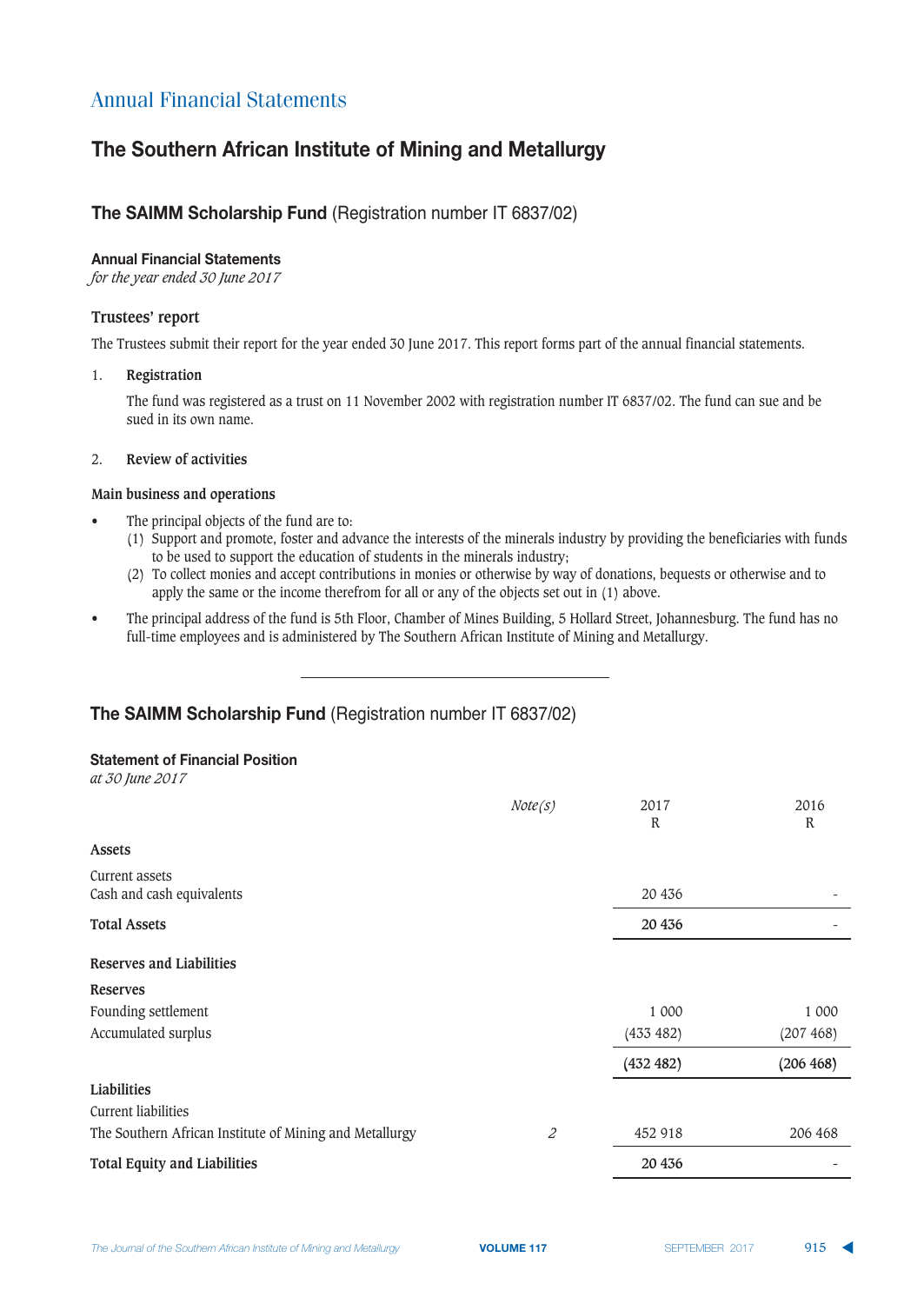## **The Southern African Institute of Mining and Metallurgy**

## **The SAIMM Scholarship Fund (Registration number IT 6837/02)**

### **Annual Financial Statements**

*for the year ended 30 June 2017*

### **Trustees' report**

The Trustees submit their report for the year ended 30 June 2017. This report forms part of the annual financial statements.

### 1. **Registration**

The fund was registered as a trust on 11 November 2002 with registration number IT 6837/02. The fund can sue and be sued in its own name.

### 2. **Review of activities**

### **Main business and operations**

- The principal objects of the fund are to:
	- (1) Support and promote, foster and advance the interests of the minerals industry by providing the beneficiaries with funds to be used to support the education of students in the minerals industry;
	- (2) To collect monies and accept contributions in monies or otherwise by way of donations, bequests or otherwise and to apply the same or the income therefrom for all or any of the objects set out in (1) above.
- The principal address of the fund is 5th Floor, Chamber of Mines Building, 5 Hollard Street, Johannesburg. The fund has no full-time employees and is administered by The Southern African Institute of Mining and Metallurgy.

## **The SAIMM Scholarship Fund (Registration number IT 6837/02)**

### <u>**Statement of Financial Position</u>**</u>

*at 30 June 2017*

|                                                         | Note(s) | 2017<br>R | 2016<br>R |
|---------------------------------------------------------|---------|-----------|-----------|
| Assets                                                  |         |           |           |
| Current assets<br>Cash and cash equivalents             |         | 20 436    |           |
| <b>Total Assets</b>                                     |         | 20 4 36   |           |
| Reserves and Liabilities                                |         |           |           |
| <b>Reserves</b>                                         |         |           |           |
| Founding settlement                                     |         | 1 000     | 1 000     |
| Accumulated surplus                                     |         | (433 482) | (207 468) |
|                                                         |         | (432 482) | (206 468) |
| Liabilities                                             |         |           |           |
| Current liabilities                                     |         |           |           |
| The Southern African Institute of Mining and Metallurgy | 2       | 452 918   | 206 468   |
| <b>Total Equity and Liabilities</b>                     |         | 20 4 36   |           |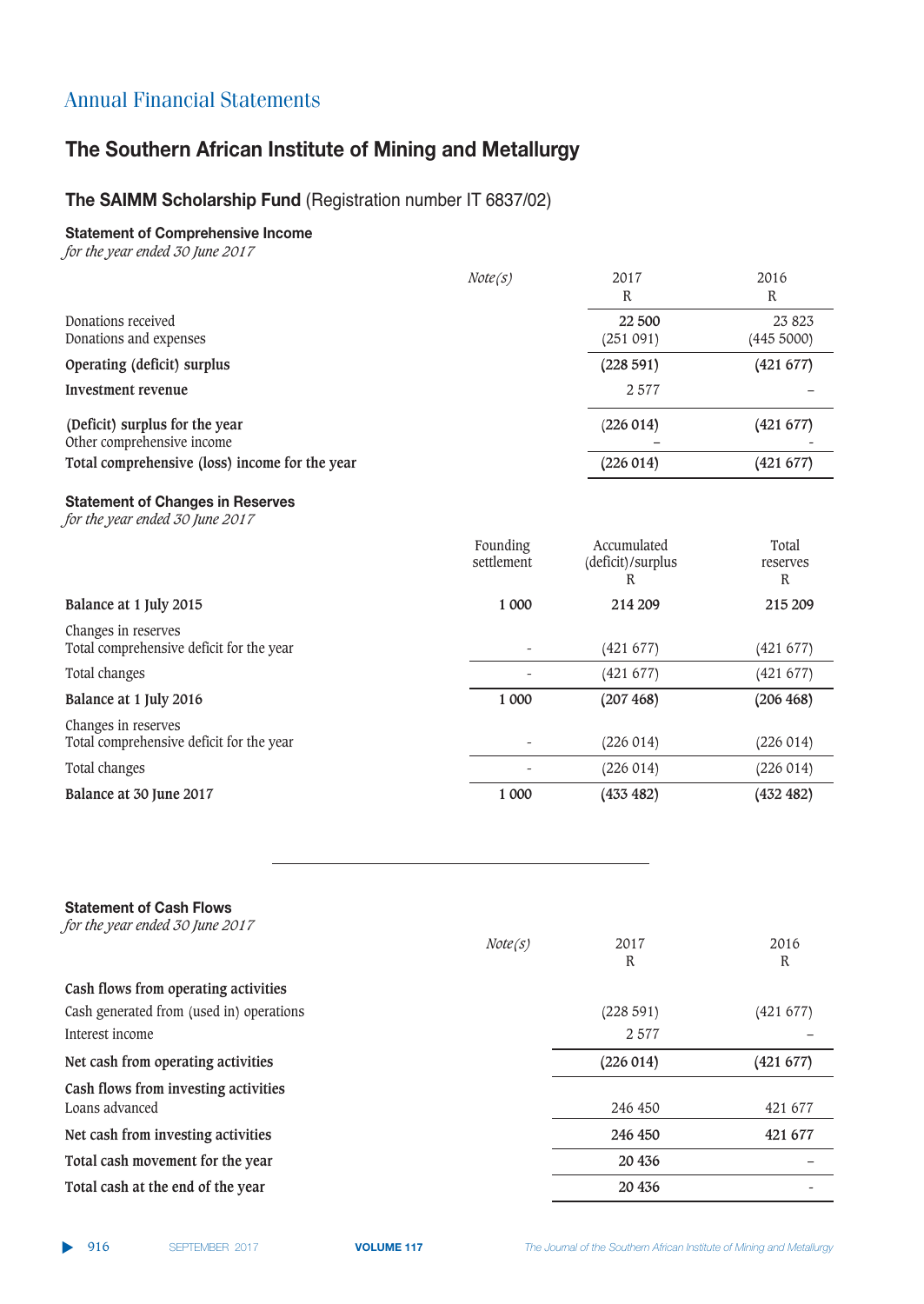# **The Southern African Institute of Mining and Metallurgy**

## **The SAIMM Scholarship Fund (Registration number IT 6837/02)**

## **Statement of Comprehensive Income**

*for the year ended 30 June 2017*

|                                                              | Note(s) | 2017<br>R          | 2016<br>R            |
|--------------------------------------------------------------|---------|--------------------|----------------------|
| Donations received<br>Donations and expenses                 |         | 22 500<br>(251091) | 23 823<br>(445 5000) |
| Operating (deficit) surplus                                  |         | (228591)           | (421 677)            |
| Investment revenue                                           |         | 2577               |                      |
| (Deficit) surplus for the year<br>Other comprehensive income |         | (226014)           | (421 677)            |
| Total comprehensive (loss) income for the year               |         | (226014)           | (421 677)            |
|                                                              |         |                    |                      |

## $k$  **Statement of Changes in Reserves**

*for the year ended 30 June 2017*

|                                                                 | Founding<br>settlement | Accumulated<br>(deficit)/surplus<br>R | Total<br>reserves<br>R |
|-----------------------------------------------------------------|------------------------|---------------------------------------|------------------------|
| Balance at 1 July 2015                                          | 1 000                  | 214 209                               | 215 209                |
| Changes in reserves<br>Total comprehensive deficit for the year |                        | (421 677)                             | (421 677)              |
| Total changes                                                   |                        | (421677)                              | (421 677)              |
| Balance at 1 July 2016                                          | 1 000                  | (207 468)                             | (206 468)              |
| Changes in reserves<br>Total comprehensive deficit for the year |                        | (226014)                              | (226 014)              |
| Total changes                                                   |                        | (226014)                              | (226014)               |
| Balance at 30 June 2017                                         | 1 000                  | (433 482)                             | (432 482)              |

| <b>Statement of Cash Flows</b><br>for the year ended 30 June 2017 |         |           |           |
|-------------------------------------------------------------------|---------|-----------|-----------|
|                                                                   | Note(s) | 2017<br>R | 2016<br>R |
| Cash flows from operating activities                              |         |           |           |
| Cash generated from (used in) operations                          |         | (228591)  | (421 677) |
| Interest income                                                   |         | 2577      |           |
| Net cash from operating activities                                |         | (226014)  | (421 677) |
| Cash flows from investing activities                              |         |           |           |
| Loans advanced                                                    |         | 246 450   | 421 677   |
| Net cash from investing activities                                |         | 246 450   | 421 677   |
| Total cash movement for the year                                  |         | 20 4 36   |           |
| Total cash at the end of the year                                 |         | 20 436    |           |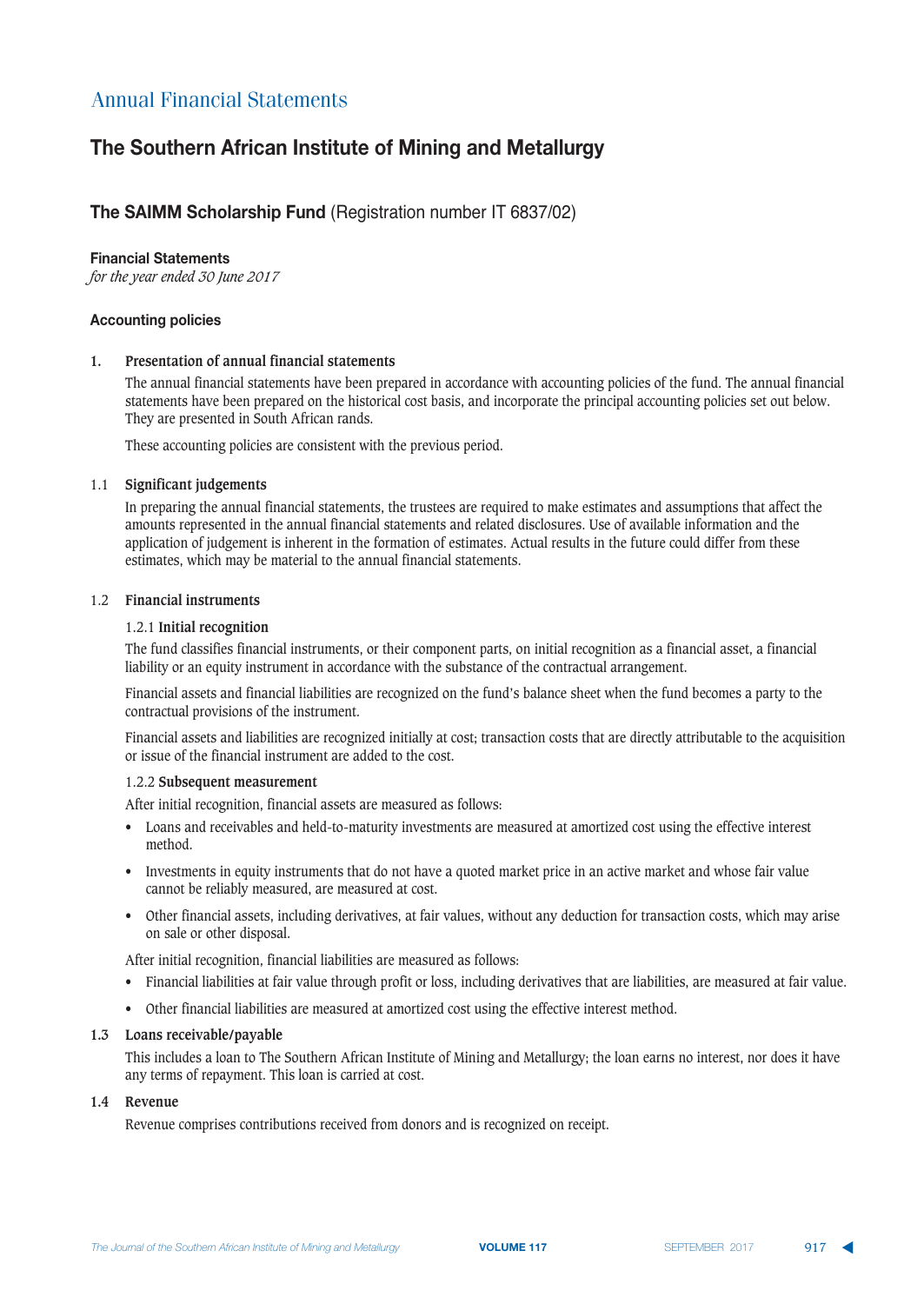## **The Southern African Institute of Mining and Metallurgy**

## **The SAIMM Scholarship Fund (Registration number IT 6837/02)**

### **Einancial Statements**

*for the year ended 30 June 2017*

### **Accounting policies**

### **1. Presentation of annual financial statements**

The annual financial statements have been prepared in accordance with accounting policies of the fund. The annual financial statements have been prepared on the historical cost basis, and incorporate the principal accounting policies set out below. They are presented in South African rands.

These accounting policies are consistent with the previous period.

### 1.1 **Significant judgements**

In preparing the annual financial statements, the trustees are required to make estimates and assumptions that affect the amounts represented in the annual financial statements and related disclosures. Use of available information and the application of judgement is inherent in the formation of estimates. Actual results in the future could differ from these estimates, which may be material to the annual financial statements.

### 1.2 **Financial instruments**

### 1.2.1 **Initial recognition**

The fund classifies financial instruments, or their component parts, on initial recognition as a financial asset, a financial liability or an equity instrument in accordance with the substance of the contractual arrangement.

Financial assets and financial liabilities are recognized on the fund's balance sheet when the fund becomes a party to the contractual provisions of the instrument.

Financial assets and liabilities are recognized initially at cost; transaction costs that are directly attributable to the acquisition or issue of the financial instrument are added to the cost.

### 1.2.2 **Subsequent measurement**

After initial recognition, financial assets are measured as follows:

- Loans and receivables and held-to-maturity investments are measured at amortized cost using the effective interest method.
- Investments in equity instruments that do not have a quoted market price in an active market and whose fair value cannot be reliably measured, are measured at cost.
- Other financial assets, including derivatives, at fair values, without any deduction for transaction costs, which may arise on sale or other disposal.

After initial recognition, financial liabilities are measured as follows:

- Financial liabilities at fair value through profit or loss, including derivatives that are liabilities, are measured at fair value.
- Other financial liabilities are measured at amortized cost using the effective interest method.

### **1.3 Loans receivable/payable**

This includes a loan to The Southern African Institute of Mining and Metallurgy; the loan earns no interest, nor does it have any terms of repayment. This loan is carried at cost.

### **1.4 Revenue**

Revenue comprises contributions received from donors and is recognized on receipt.